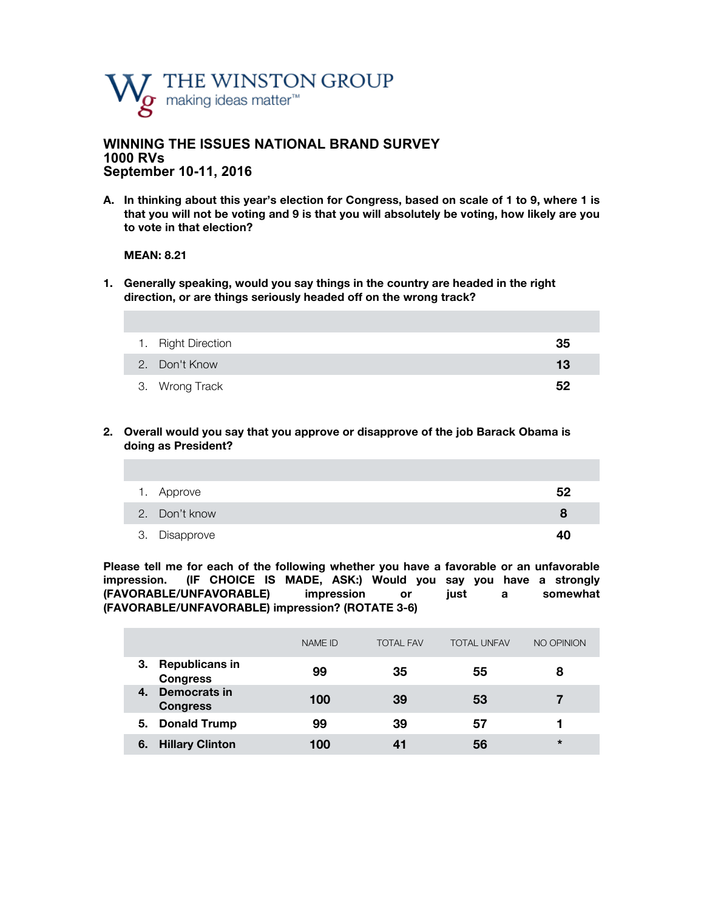

### **WINNING THE ISSUES NATIONAL BRAND SURVEY 1000 RVs September 10-11, 2016**

**A. In thinking about this year's election for Congress, based on scale of 1 to 9, where 1 is that you will not be voting and 9 is that you will absolutely be voting, how likely are you to vote in that election?**

#### **MEAN: 8.21**

**1. Generally speaking, would you say things in the country are headed in the right direction, or are things seriously headed off on the wrong track?** 

| 1. Right Direction | 35 |
|--------------------|----|
| 2. Don't Know      | 13 |
| 3. Wrong Track     | 52 |

**2. Overall would you say that you approve or disapprove of the job Barack Obama is doing as President?**

| 1. Approve    | 52 |
|---------------|----|
| 2. Don't know | 8  |
| 3. Disapprove | 40 |

**Please tell me for each of the following whether you have a favorable or an unfavorable impression. (IF CHOICE IS MADE, ASK:) Would you say you have a strongly (FAVORABLE/UNFAVORABLE) impression or just a somewhat (FAVORABLE/UNFAVORABLE) impression? (ROTATE 3-6)**

|                                                | <b>NAME ID</b> | <b>TOTAL FAV</b> | <b>TOTAL UNFAV</b> | NO OPINION |
|------------------------------------------------|----------------|------------------|--------------------|------------|
| <b>Republicans in</b><br>З.<br><b>Congress</b> | 99             | 35               | 55                 | 8          |
| Democrats in<br>4.<br><b>Congress</b>          | 100            | 39               | 53                 |            |
| <b>Donald Trump</b><br>5.                      | 99             | 39               | 57                 |            |
| <b>Hillary Clinton</b><br>6.                   | 100            |                  | 56                 | $\star$    |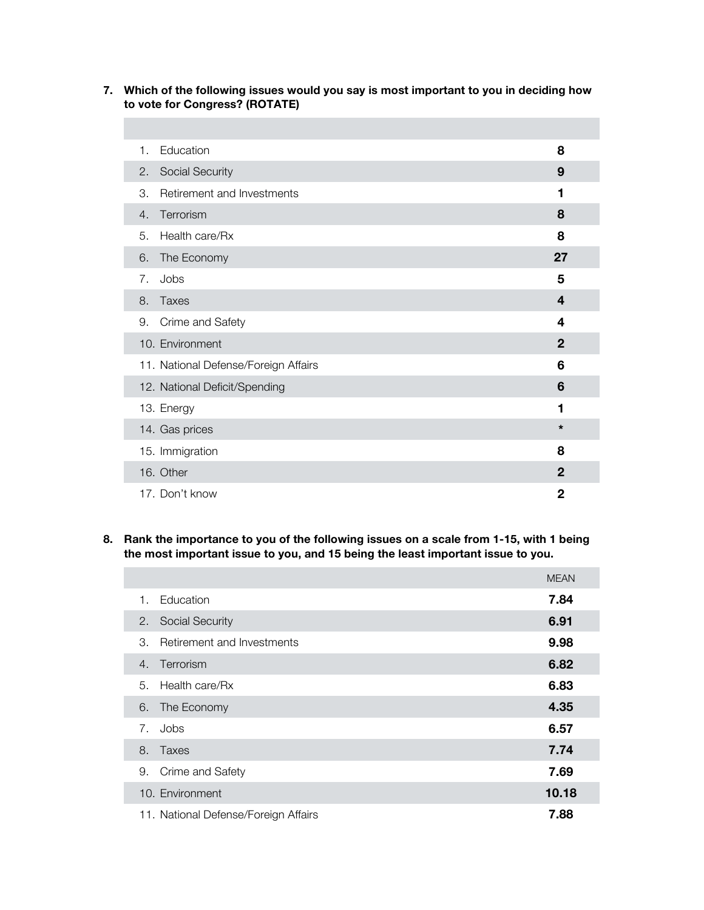### **7. Which of the following issues would you say is most important to you in deciding how to vote for Congress? (ROTATE)**

| 1. | Education                            | 8                       |
|----|--------------------------------------|-------------------------|
| 2. | Social Security                      | 9                       |
| 3. | Retirement and Investments           | 1                       |
| 4. | Terrorism                            | 8                       |
| 5. | Health care/Rx                       | 8                       |
| 6. | The Economy                          | 27                      |
| 7. | Jobs                                 | 5                       |
| 8. | <b>Taxes</b>                         | $\overline{\mathbf{4}}$ |
| 9. | Crime and Safety                     | 4                       |
|    | 10. Environment                      | $\mathbf{2}$            |
|    | 11. National Defense/Foreign Affairs | 6                       |
|    | 12. National Deficit/Spending        | 6                       |
|    | 13. Energy                           | 1                       |
|    | 14. Gas prices                       | $\star$                 |
|    | 15. Immigration                      | 8                       |
|    | 16. Other                            | $\mathbf{2}$            |
|    | 17. Don't know                       | $\mathbf{2}$            |

#### **8. Rank the importance to you of the following issues on a scale from 1-15, with 1 being the most important issue to you, and 15 being the least important issue to you.**

|    |                                      | <b>MEAN</b> |
|----|--------------------------------------|-------------|
| 1. | Education                            | 7.84        |
| 2. | Social Security                      | 6.91        |
| 3. | Retirement and Investments           | 9.98        |
| 4. | Terrorism                            | 6.82        |
| 5. | Health care/Rx                       | 6.83        |
| 6. | The Economy                          | 4.35        |
| 7. | Jobs                                 | 6.57        |
| 8. | Taxes                                | 7.74        |
| 9. | Crime and Safety                     | 7.69        |
|    | 10. Environment                      | 10.18       |
|    | 11. National Defense/Foreign Affairs | 7.88        |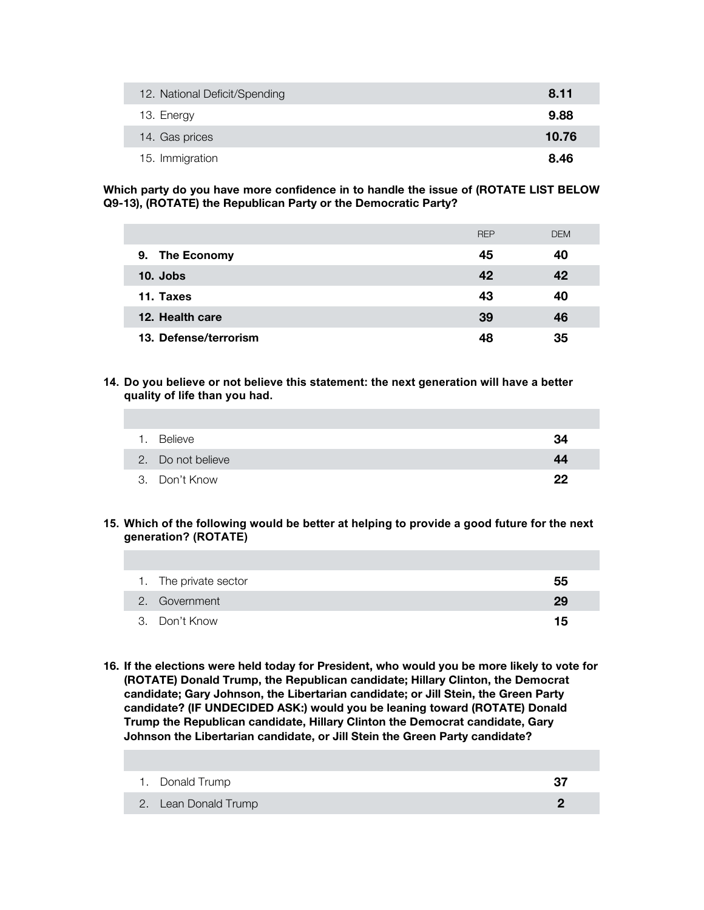| 12. National Deficit/Spending | 8.11  |
|-------------------------------|-------|
| 13. Energy                    | 9.88  |
| 14. Gas prices                | 10.76 |
| 15. Immigration               | 8.46  |

**Which party do you have more confidence in to handle the issue of (ROTATE LIST BELOW Q9-13), (ROTATE) the Republican Party or the Democratic Party?** 

|                       | <b>REP</b> | <b>DEM</b> |
|-----------------------|------------|------------|
| 9. The Economy        | 45         | 40         |
| $10.$ Jobs            | 42         | 42         |
| 11. Taxes             | 43         | 40         |
| 12. Health care       | 39         | 46         |
| 13. Defense/terrorism | 48         | 35         |

**14. Do you believe or not believe this statement: the next generation will have a better quality of life than you had.** 

| 1. | Believe           | 34 |
|----|-------------------|----|
|    | 2. Do not believe | 44 |
|    | 3. Don't Know     | クク |

#### **15. Which of the following would be better at helping to provide a good future for the next generation? (ROTATE)**

| 1. The private sector | 55 |
|-----------------------|----|
| 2. Government         | 29 |
| 3. Don't Know         | 15 |

**16. If the elections were held today for President, who would you be more likely to vote for (ROTATE) Donald Trump, the Republican candidate; Hillary Clinton, the Democrat candidate; Gary Johnson, the Libertarian candidate; or Jill Stein, the Green Party candidate? (IF UNDECIDED ASK:) would you be leaning toward (ROTATE) Donald Trump the Republican candidate, Hillary Clinton the Democrat candidate, Gary Johnson the Libertarian candidate, or Jill Stein the Green Party candidate?**

| 1. Donald Trump      | 37 |
|----------------------|----|
| 2. Lean Donald Trump |    |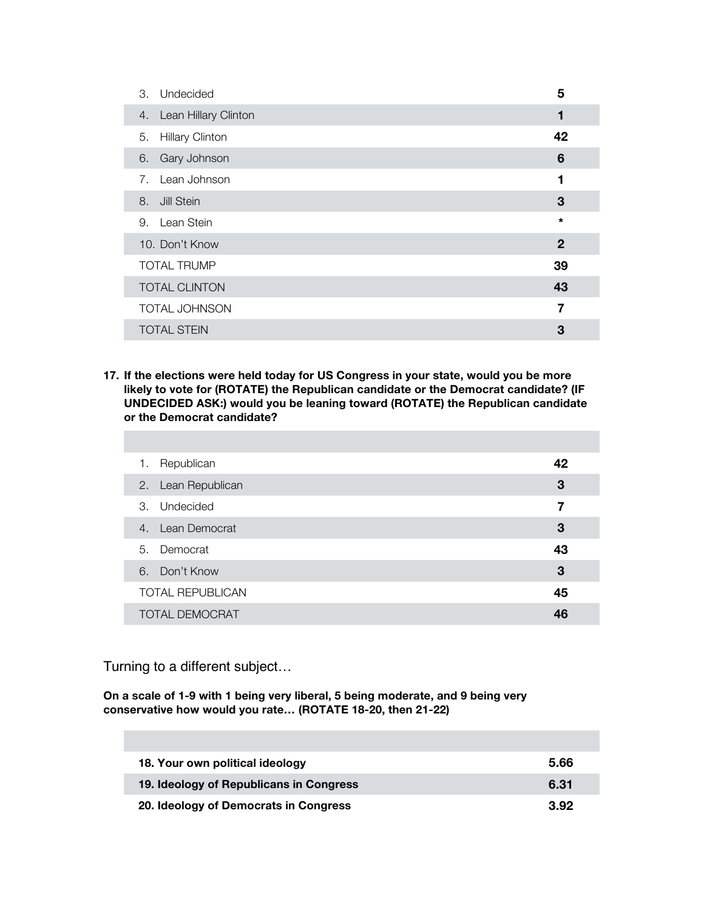| Undecided<br>3.                                  | 5           |
|--------------------------------------------------|-------------|
| Lean Hillary Clinton<br>4.                       | 1           |
| <b>Hillary Clinton</b><br>5.                     | 42          |
| Gary Johnson<br>6.                               | 6           |
| Lean Johnson<br>$7_{\scriptscriptstyle{\ddots}}$ | 1           |
| Jill Stein<br>8.                                 | 3           |
| 9. Lean Stein                                    | $\star$     |
| 10. Don't Know                                   | $\mathbf 2$ |
| <b>TOTAL TRUMP</b>                               | 39          |
| <b>TOTAL CLINTON</b>                             | 43          |
| <b>TOTAL JOHNSON</b>                             | 7           |
| <b>TOTAL STEIN</b>                               | 3           |

**17. If the elections were held today for US Congress in your state, would you be more likely to vote for (ROTATE) the Republican candidate or the Democrat candidate? (IF UNDECIDED ASK:) would you be leaning toward (ROTATE) the Republican candidate or the Democrat candidate?**

| Republican<br>1.        | 42 |
|-------------------------|----|
| 2. Lean Republican      | 3  |
| 3. Undecided            | 7  |
| 4. Lean Democrat        | 3  |
| 5. Democrat             | 43 |
| 6. Don't Know           | 3  |
| <b>TOTAL REPUBLICAN</b> | 45 |
| <b>TOTAL DEMOCRAT</b>   | 46 |

Turning to a different subject…

**On a scale of 1-9 with 1 being very liberal, 5 being moderate, and 9 being very conservative how would you rate… (ROTATE 18-20, then 21-22)**

| 18. Your own political ideology         | 5.66 |
|-----------------------------------------|------|
| 19. Ideology of Republicans in Congress | 6.31 |
| 20. Ideology of Democrats in Congress   | 3.92 |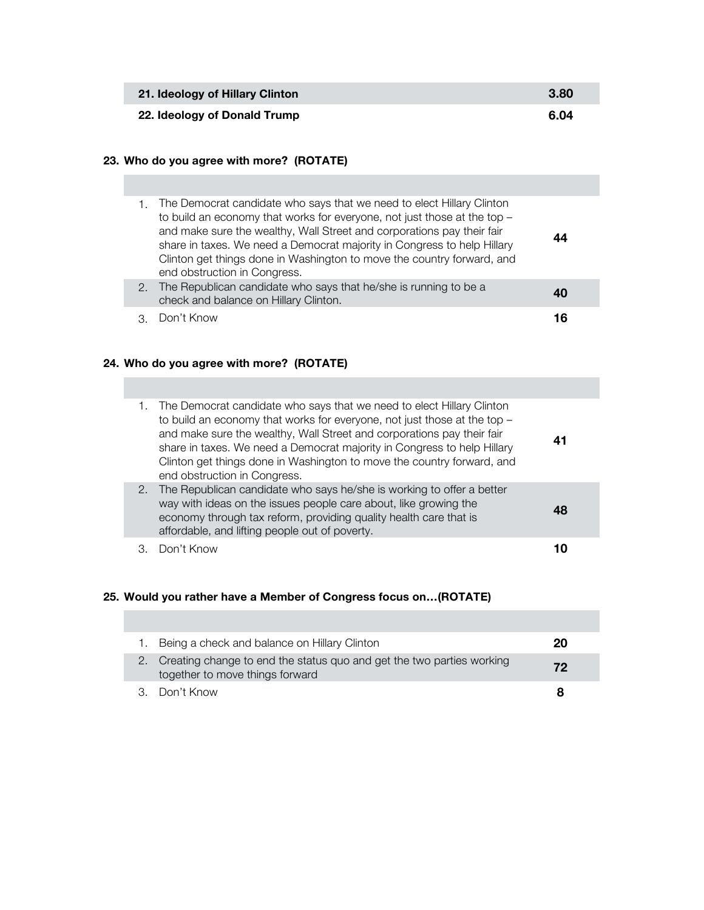| 21. Ideology of Hillary Clinton | 3.80 |
|---------------------------------|------|
| 22. Ideology of Donald Trump    | 6.04 |

## **23. Who do you agree with more? (ROTATE)**

| 1. The Democrat candidate who says that we need to elect Hillary Clinton<br>to build an economy that works for everyone, not just those at the top -<br>and make sure the wealthy, Wall Street and corporations pay their fair<br>share in taxes. We need a Democrat majority in Congress to help Hillary<br>Clinton get things done in Washington to move the country forward, and<br>end obstruction in Congress. | 44 |
|---------------------------------------------------------------------------------------------------------------------------------------------------------------------------------------------------------------------------------------------------------------------------------------------------------------------------------------------------------------------------------------------------------------------|----|
| 2. The Republican candidate who says that he/she is running to be a<br>check and balance on Hillary Clinton.                                                                                                                                                                                                                                                                                                        | 40 |
| Don't Know                                                                                                                                                                                                                                                                                                                                                                                                          | 16 |

# **24. Who do you agree with more? (ROTATE)**

| The Democrat candidate who says that we need to elect Hillary Clinton<br>to build an economy that works for everyone, not just those at the top -<br>and make sure the wealthy, Wall Street and corporations pay their fair<br>share in taxes. We need a Democrat majority in Congress to help Hillary<br>Clinton get things done in Washington to move the country forward, and<br>end obstruction in Congress. | 41 |
|------------------------------------------------------------------------------------------------------------------------------------------------------------------------------------------------------------------------------------------------------------------------------------------------------------------------------------------------------------------------------------------------------------------|----|
| 2. The Republican candidate who says he/she is working to offer a better<br>way with ideas on the issues people care about, like growing the<br>economy through tax reform, providing quality health care that is<br>affordable, and lifting people out of poverty.                                                                                                                                              | 48 |
| Don't Know                                                                                                                                                                                                                                                                                                                                                                                                       |    |

## **25. Would you rather have a Member of Congress focus on…(ROTATE)**

| 1. Being a check and balance on Hillary Clinton                                                             | 20 |
|-------------------------------------------------------------------------------------------------------------|----|
| 2. Creating change to end the status quo and get the two parties working<br>together to move things forward | 72 |
| 3. Don't Know                                                                                               |    |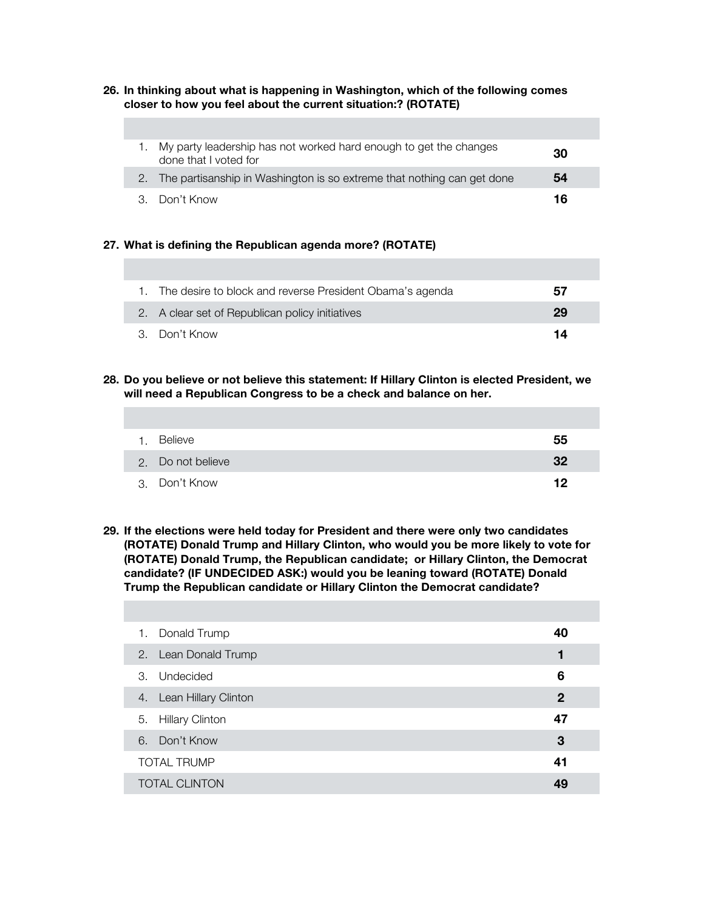#### **26. In thinking about what is happening in Washington, which of the following comes closer to how you feel about the current situation:? (ROTATE)**

| My party leadership has not worked hard enough to get the changes<br>done that I voted for | 30 |
|--------------------------------------------------------------------------------------------|----|
| 2. The partisanship in Washington is so extreme that nothing can get done                  | 54 |
| 3. Don't Know                                                                              | 16 |

#### **27. What is defining the Republican agenda more? (ROTATE)**

| 1. The desire to block and reverse President Obama's agenda | 57 |
|-------------------------------------------------------------|----|
| 2. A clear set of Republican policy initiatives             | 29 |
| 3. Don't Know                                               | 14 |

**28. Do you believe or not believe this statement: If Hillary Clinton is elected President, we will need a Republican Congress to be a check and balance on her.** 

| Believe           | 55 |
|-------------------|----|
| 2. Do not believe | 32 |
| 3. Don't Know     | 12 |

**29. If the elections were held today for President and there were only two candidates (ROTATE) Donald Trump and Hillary Clinton, who would you be more likely to vote for (ROTATE) Donald Trump, the Republican candidate; or Hillary Clinton, the Democrat candidate? (IF UNDECIDED ASK:) would you be leaning toward (ROTATE) Donald Trump the Republican candidate or Hillary Clinton the Democrat candidate?**

| 1. Donald Trump              | 40          |
|------------------------------|-------------|
| 2. Lean Donald Trump         |             |
| Undecided<br>3.              | 6           |
| 4. Lean Hillary Clinton      | $\mathbf 2$ |
| <b>Hillary Clinton</b><br>5. | 47          |
| 6. Don't Know                | 3           |
| <b>TOTAL TRUMP</b>           | 41          |
| <b>TOTAL CLINTON</b>         | 49          |
|                              |             |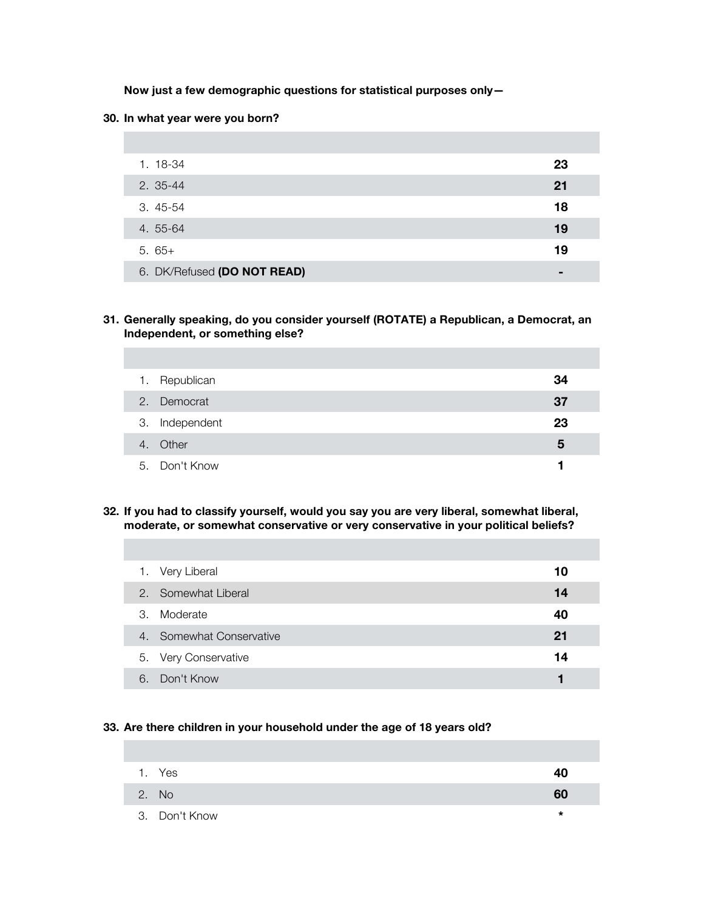**Now just a few demographic questions for statistical purposes only—**

#### **30. In what year were you born?**

| 1. 18-34                    | 23 |
|-----------------------------|----|
| 2. 35-44                    | 21 |
| 3.45-54                     | 18 |
| 4. 55-64                    | 19 |
| $5.65+$                     | 19 |
| 6. DK/Refused (DO NOT READ) | -  |

#### **31. Generally speaking, do you consider yourself (ROTATE) a Republican, a Democrat, an Independent, or something else?**

| $\mathbf{1}$ . | Republican     | 34 |
|----------------|----------------|----|
|                | 2. Democrat    | 37 |
|                | 3. Independent | 23 |
|                | 4. Other       | 5  |
|                | 5. Don't Know  |    |

**32. If you had to classify yourself, would you say you are very liberal, somewhat liberal, moderate, or somewhat conservative or very conservative in your political beliefs?**

|                       | 1. Very Liberal          | 10 |
|-----------------------|--------------------------|----|
|                       | 2. Somewhat Liberal      | 14 |
| $\mathcal{B}_{\cdot}$ | Moderate                 | 40 |
|                       | 4. Somewhat Conservative | 21 |
|                       | 5. Very Conservative     | 14 |
| 6                     | Don't Know               |    |

### **33. Are there children in your household under the age of 18 years old?**

| 1. Yes        | 40 |
|---------------|----|
| 2. No         | 60 |
| 3. Don't Know | *  |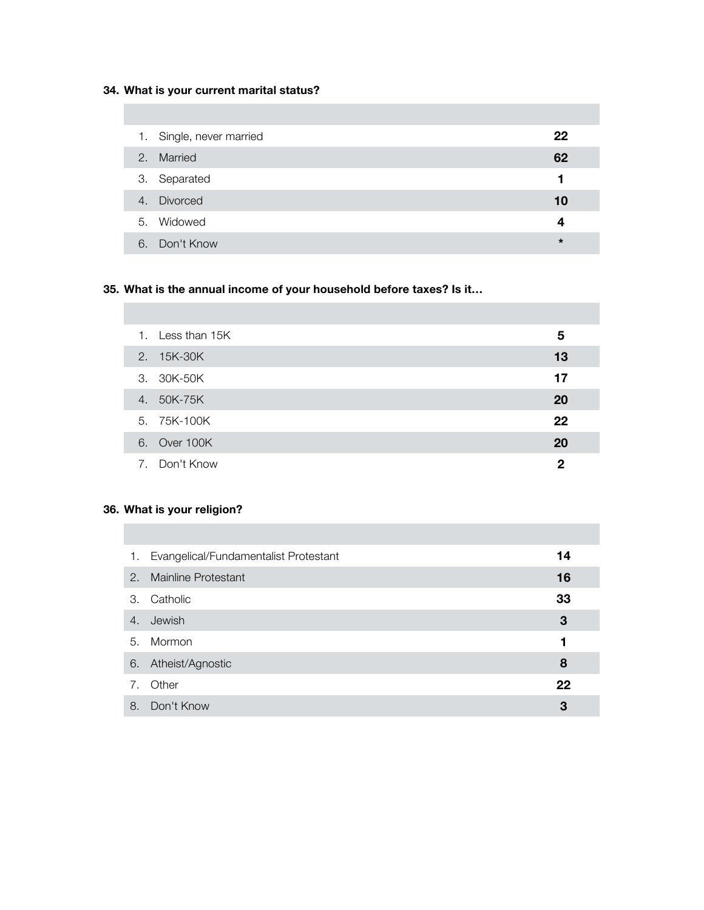## **34. What is your current marital status?**

|    | 1. Single, never married | 22      |
|----|--------------------------|---------|
| 2. | Married                  | 62      |
|    | 3. Separated             |         |
|    | 4. Divorced              | 10      |
|    | 5. Widowed               | 4       |
| 6. | Don't Know               | $\star$ |

# **35. What is the annual income of your household before taxes? Is it…**

|    | 1. Less than 15K | 5  |  |
|----|------------------|----|--|
|    | 2. 15K-30K       | 13 |  |
|    | 3. 30K-50K       | 17 |  |
| 4. | 50K-75K          | 20 |  |
|    | 5. 75K-100K      | 22 |  |
|    | 6. Over 100K     | 20 |  |
|    | 7. Don't Know    | 2  |  |

# **36. What is your religion?**

| 1. | Evangelical/Fundamentalist Protestant | 14 |
|----|---------------------------------------|----|
|    | 2. Mainline Protestant                | 16 |
| 3. | Catholic                              | 33 |
| 4. | Jewish                                | 3  |
|    | 5. Mormon                             | 1  |
| 6. | Atheist/Agnostic                      | 8  |
| 7. | Other                                 | 22 |
| 8. | Don't Know                            | 3  |